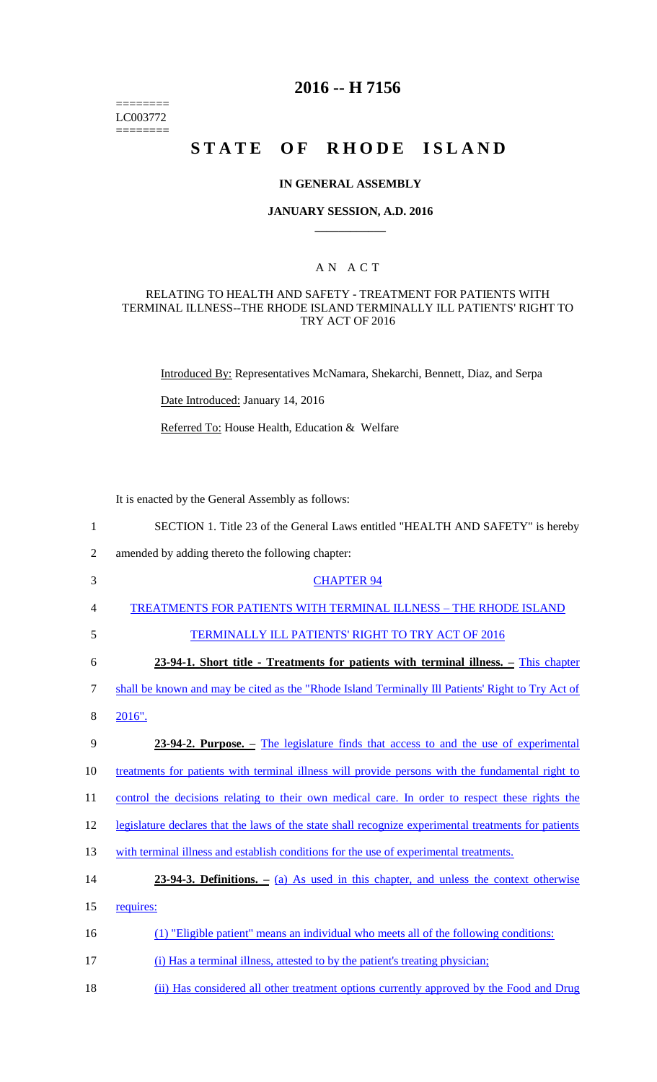======== LC003772 ========

# **2016 -- H 7156**

# STATE OF RHODE ISLAND

### **IN GENERAL ASSEMBLY**

### **JANUARY SESSION, A.D. 2016 \_\_\_\_\_\_\_\_\_\_\_\_**

### A N A C T

### RELATING TO HEALTH AND SAFETY - TREATMENT FOR PATIENTS WITH TERMINAL ILLNESS--THE RHODE ISLAND TERMINALLY ILL PATIENTS' RIGHT TO TRY ACT OF 2016

Introduced By: Representatives McNamara, Shekarchi, Bennett, Diaz, and Serpa

Date Introduced: January 14, 2016

Referred To: House Health, Education & Welfare

It is enacted by the General Assembly as follows:

- 1 SECTION 1. Title 23 of the General Laws entitled "HEALTH AND SAFETY" is hereby
- 2 amended by adding thereto the following chapter:
- 3 CHAPTER 94
- 4 TREATMENTS FOR PATIENTS WITH TERMINAL ILLNESS THE RHODE ISLAND
- 

# 5 TERMINALLY ILL PATIENTS' RIGHT TO TRY ACT OF 2016

6 **23-94-1. Short title - Treatments for patients with terminal illness. –** This chapter

7 shall be known and may be cited as the "Rhode Island Terminally Ill Patients' Right to Try Act of

8 2016".

# 9 **23-94-2. Purpose. –** The legislature finds that access to and the use of experimental

10 treatments for patients with terminal illness will provide persons with the fundamental right to

11 control the decisions relating to their own medical care. In order to respect these rights the

12 legislature declares that the laws of the state shall recognize experimental treatments for patients

- 13 with terminal illness and establish conditions for the use of experimental treatments.
- 14 **23-94-3. Definitions. –** (a) As used in this chapter, and unless the context otherwise

15 requires:

- 16 (1) "Eligible patient" means an individual who meets all of the following conditions:
- 17 (i) Has a terminal illness, attested to by the patient's treating physician;
- 18 (ii) Has considered all other treatment options currently approved by the Food and Drug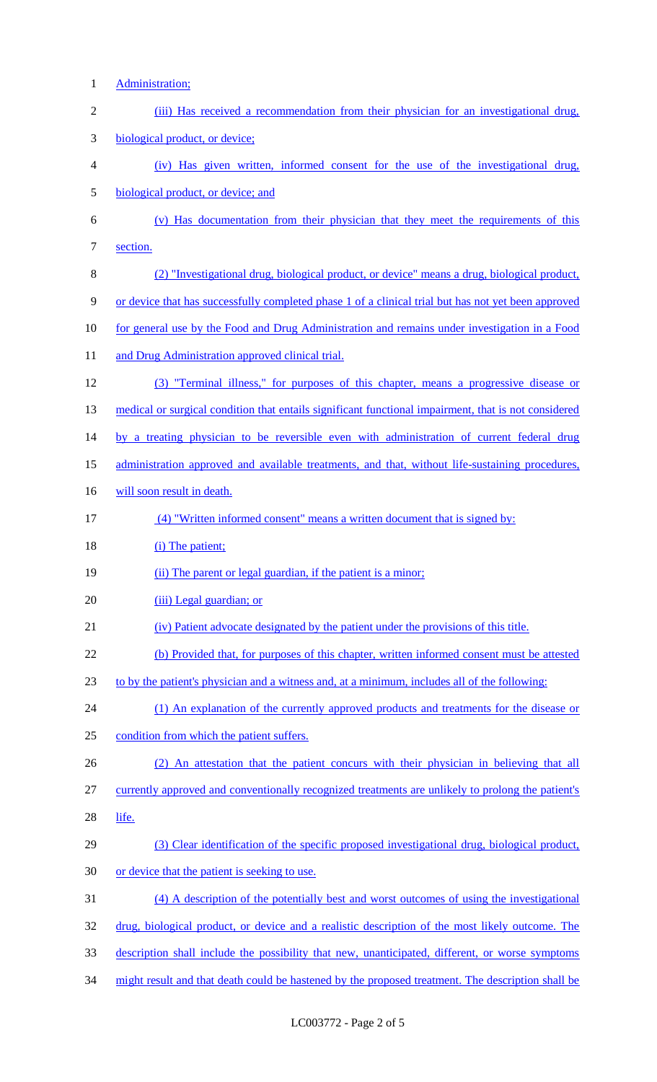Administration; 2 (iii) Has received a recommendation from their physician for an investigational drug, biological product, or device; (iv) Has given written, informed consent for the use of the investigational drug, biological product, or device; and (v) Has documentation from their physician that they meet the requirements of this section. (2) "Investigational drug, biological product, or device" means a drug, biological product, or device that has successfully completed phase 1 of a clinical trial but has not yet been approved for general use by the Food and Drug Administration and remains under investigation in a Food 11 and Drug Administration approved clinical trial. (3) "Terminal illness," for purposes of this chapter, means a progressive disease or 13 medical or surgical condition that entails significant functional impairment, that is not considered 14 by a treating physician to be reversible even with administration of current federal drug administration approved and available treatments, and that, without life-sustaining procedures, 16 will soon result in death. (4) "Written informed consent" means a written document that is signed by: 18 (i) The patient; 19 (ii) The parent or legal guardian, if the patient is a minor; 20 (iii) Legal guardian; or (iv) Patient advocate designated by the patient under the provisions of this title. (b) Provided that, for purposes of this chapter, written informed consent must be attested to by the patient's physician and a witness and, at a minimum, includes all of the following: 24 (1) An explanation of the currently approved products and treatments for the disease or condition from which the patient suffers. (2) An attestation that the patient concurs with their physician in believing that all currently approved and conventionally recognized treatments are unlikely to prolong the patient's life. (3) Clear identification of the specific proposed investigational drug, biological product, or device that the patient is seeking to use. (4) A description of the potentially best and worst outcomes of using the investigational drug, biological product, or device and a realistic description of the most likely outcome. The description shall include the possibility that new, unanticipated, different, or worse symptoms might result and that death could be hastened by the proposed treatment. The description shall be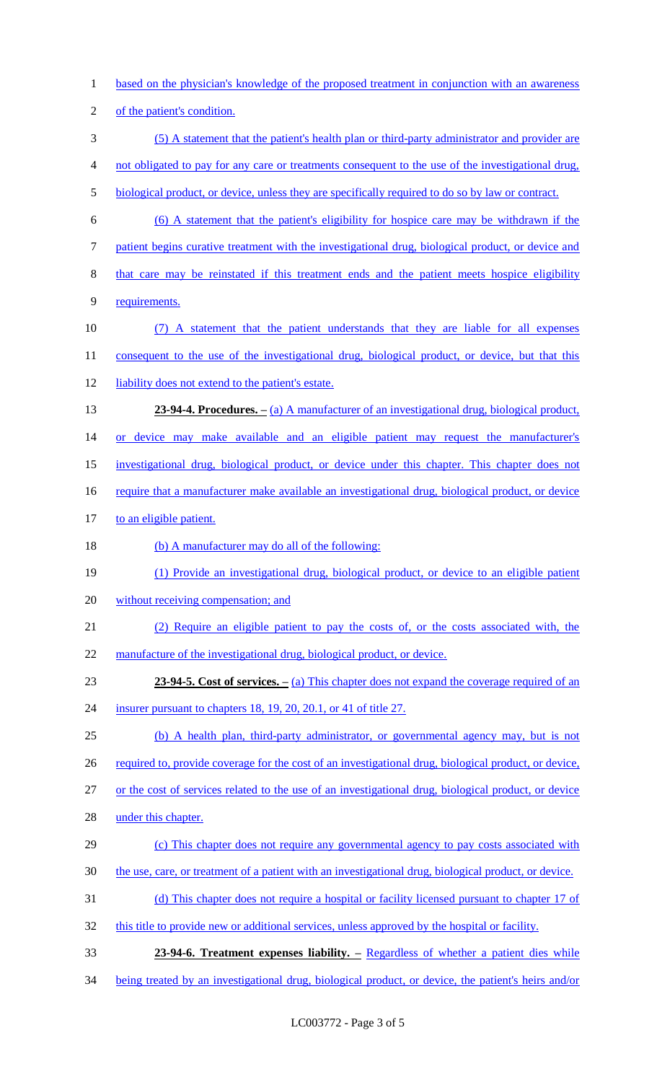1 based on the physician's knowledge of the proposed treatment in conjunction with an awareness of the patient's condition. (5) A statement that the patient's health plan or third-party administrator and provider are not obligated to pay for any care or treatments consequent to the use of the investigational drug, 5 biological product, or device, unless they are specifically required to do so by law or contract. (6) A statement that the patient's eligibility for hospice care may be withdrawn if the patient begins curative treatment with the investigational drug, biological product, or device and that care may be reinstated if this treatment ends and the patient meets hospice eligibility requirements. (7) A statement that the patient understands that they are liable for all expenses 11 consequent to the use of the investigational drug, biological product, or device, but that this 12 liability does not extend to the patient's estate. **23-94-4. Procedures.** – (a) A manufacturer of an investigational drug, biological product, 14 or device may make available and an eligible patient may request the manufacturer's investigational drug, biological product, or device under this chapter. This chapter does not 16 require that a manufacturer make available an investigational drug, biological product, or device 17 to an eligible patient. 18 (b) A manufacturer may do all of the following: (1) Provide an investigational drug, biological product, or device to an eligible patient without receiving compensation; and (2) Require an eligible patient to pay the costs of, or the costs associated with, the 22 manufacture of the investigational drug, biological product, or device. **23-94-5. Cost of services.** – (a) This chapter does not expand the coverage required of an insurer pursuant to chapters 18, 19, 20, 20.1, or 41 of title 27. (b) A health plan, third-party administrator, or governmental agency may, but is not 26 required to, provide coverage for the cost of an investigational drug, biological product, or device, or the cost of services related to the use of an investigational drug, biological product, or device under this chapter. (c) This chapter does not require any governmental agency to pay costs associated with the use, care, or treatment of a patient with an investigational drug, biological product, or device. (d) This chapter does not require a hospital or facility licensed pursuant to chapter 17 of 32 this title to provide new or additional services, unless approved by the hospital or facility. **23-94-6. Treatment expenses liability. –** Regardless of whether a patient dies while being treated by an investigational drug, biological product, or device, the patient's heirs and/or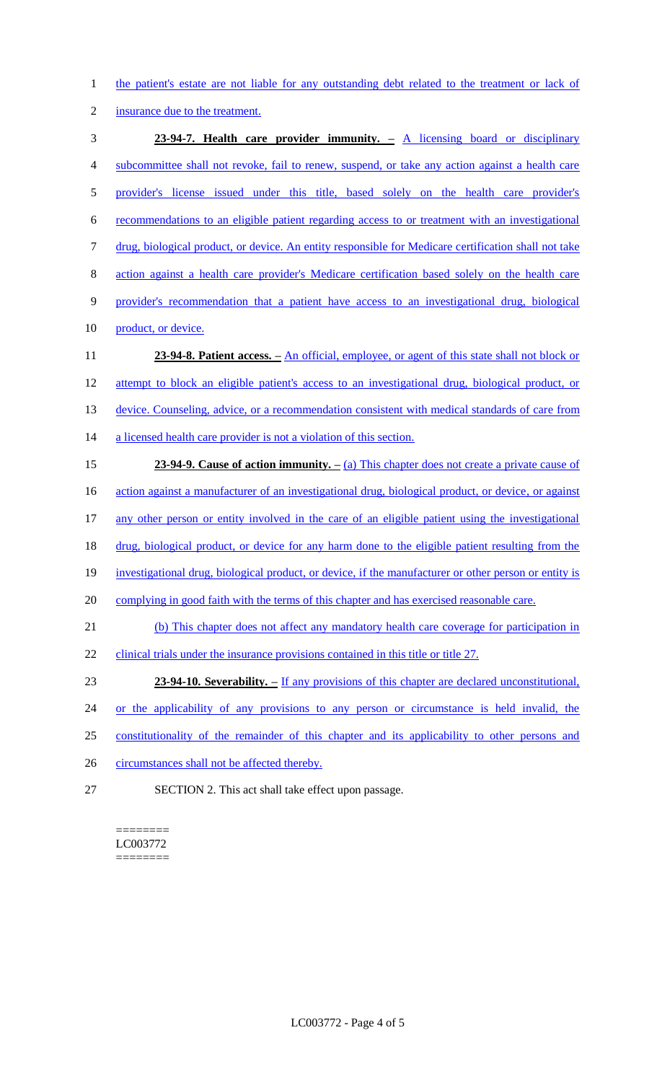1 the patient's estate are not liable for any outstanding debt related to the treatment or lack of

2 insurance due to the treatment.

3 **23-94-7. Health care provider immunity. –** A licensing board or disciplinary 4 subcommittee shall not revoke, fail to renew, suspend, or take any action against a health care 5 provider's license issued under this title, based solely on the health care provider's 6 recommendations to an eligible patient regarding access to or treatment with an investigational 7 drug, biological product, or device. An entity responsible for Medicare certification shall not take 8 action against a health care provider's Medicare certification based solely on the health care 9 provider's recommendation that a patient have access to an investigational drug, biological 10 product, or device. 11 **23-94-8. Patient access.** – An official, employee, or agent of this state shall not block or 12 attempt to block an eligible patient's access to an investigational drug, biological product, or 13 device. Counseling, advice, or a recommendation consistent with medical standards of care from 14 a licensed health care provider is not a violation of this section. 15 **23-94-9. Cause of action immunity. –** (a) This chapter does not create a private cause of 16 action against a manufacturer of an investigational drug, biological product, or device, or against 17 any other person or entity involved in the care of an eligible patient using the investigational 18 drug, biological product, or device for any harm done to the eligible patient resulting from the 19 investigational drug, biological product, or device, if the manufacturer or other person or entity is 20 complying in good faith with the terms of this chapter and has exercised reasonable care. 21 (b) This chapter does not affect any mandatory health care coverage for participation in 22 clinical trials under the insurance provisions contained in this title or title 27. 23 **23-94-10. Severability.** – If any provisions of this chapter are declared unconstitutional, 24 or the applicability of any provisions to any person or circumstance is held invalid, the 25 constitutionality of the remainder of this chapter and its applicability to other persons and 26 circumstances shall not be affected thereby.

27 SECTION 2. This act shall take effect upon passage.

======== LC003772 ========